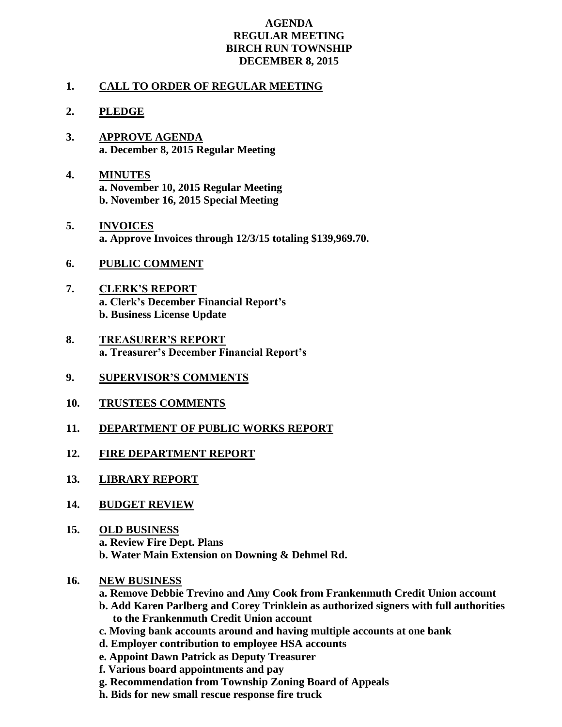## **AGENDA REGULAR MEETING BIRCH RUN TOWNSHIP DECEMBER 8, 2015**

## **1. CALL TO ORDER OF REGULAR MEETING**

## **2. PLEDGE**

- **3. APPROVE AGENDA a. December 8, 2015 Regular Meeting**
- **4. MINUTES a. November 10, 2015 Regular Meeting b. November 16, 2015 Special Meeting**
- **5. INVOICES a. Approve Invoices through 12/3/15 totaling \$139,969.70.**
- **6. PUBLIC COMMENT**
- **7. CLERK'S REPORT a. Clerk's December Financial Report's b. Business License Update**
- **8. TREASURER'S REPORT a. Treasurer's December Financial Report's**
- **9. SUPERVISOR'S COMMENTS**
- **10. TRUSTEES COMMENTS**
- **11. DEPARTMENT OF PUBLIC WORKS REPORT**
- **12. FIRE DEPARTMENT REPORT**
- **13. LIBRARY REPORT**
- **14. BUDGET REVIEW**
- **15. OLD BUSINESS a. Review Fire Dept. Plans b. Water Main Extension on Downing & Dehmel Rd.**
- **16. NEW BUSINESS**
	- **a. Remove Debbie Trevino and Amy Cook from Frankenmuth Credit Union account**
	- **b. Add Karen Parlberg and Corey Trinklein as authorized signers with full authorities to the Frankenmuth Credit Union account**
	- **c. Moving bank accounts around and having multiple accounts at one bank**
	- **d. Employer contribution to employee HSA accounts**
	- **e. Appoint Dawn Patrick as Deputy Treasurer**
	- **f. Various board appointments and pay**
	- **g. Recommendation from Township Zoning Board of Appeals**
	- **h. Bids for new small rescue response fire truck**